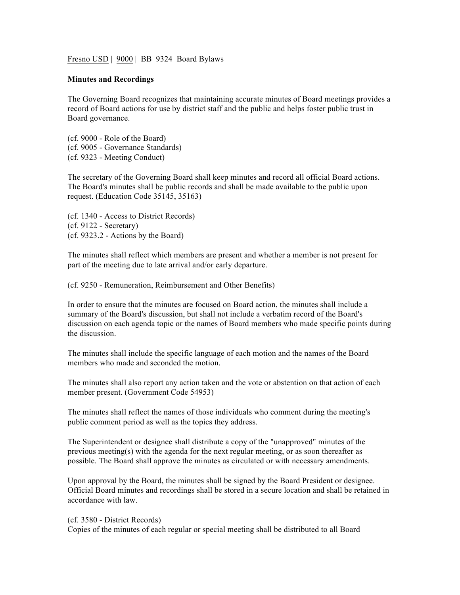Fresno USD | 9000 | BB 9324 Board Bylaws

## **Minutes and Recordings**

The Governing Board recognizes that maintaining accurate minutes of Board meetings provides a record of Board actions for use by district staff and the public and helps foster public trust in Board governance.

(cf. 9000 - Role of the Board) (cf. 9005 - Governance Standards) (cf. 9323 - Meeting Conduct)

The secretary of the Governing Board shall keep minutes and record all official Board actions. The Board's minutes shall be public records and shall be made available to the public upon request. (Education Code 35145, 35163)

(cf. 1340 - Access to District Records) (cf. 9122 - Secretary) (cf. 9323.2 - Actions by the Board)

The minutes shall reflect which members are present and whether a member is not present for part of the meeting due to late arrival and/or early departure.

(cf. 9250 - Remuneration, Reimbursement and Other Benefits)

In order to ensure that the minutes are focused on Board action, the minutes shall include a summary of the Board's discussion, but shall not include a verbatim record of the Board's discussion on each agenda topic or the names of Board members who made specific points during the discussion.

The minutes shall include the specific language of each motion and the names of the Board members who made and seconded the motion.

The minutes shall also report any action taken and the vote or abstention on that action of each member present. (Government Code 54953)

The minutes shall reflect the names of those individuals who comment during the meeting's public comment period as well as the topics they address.

The Superintendent or designee shall distribute a copy of the "unapproved" minutes of the previous meeting(s) with the agenda for the next regular meeting, or as soon thereafter as possible. The Board shall approve the minutes as circulated or with necessary amendments.

Upon approval by the Board, the minutes shall be signed by the Board President or designee. Official Board minutes and recordings shall be stored in a secure location and shall be retained in accordance with law.

## (cf. 3580 - District Records)

Copies of the minutes of each regular or special meeting shall be distributed to all Board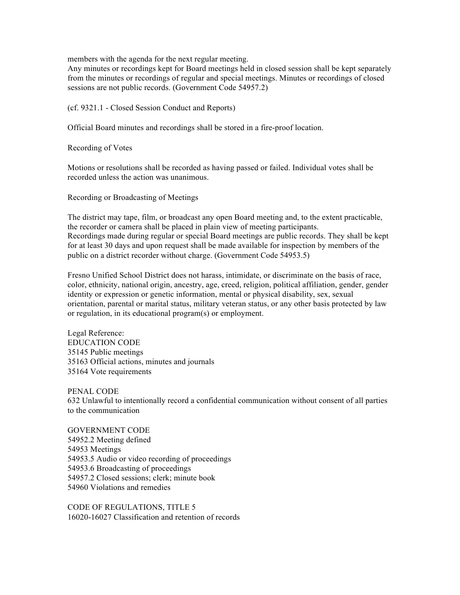members with the agenda for the next regular meeting.

Any minutes or recordings kept for Board meetings held in closed session shall be kept separately from the minutes or recordings of regular and special meetings. Minutes or recordings of closed sessions are not public records. (Government Code 54957.2)

(cf. 9321.1 - Closed Session Conduct and Reports)

Official Board minutes and recordings shall be stored in a fire-proof location.

Recording of Votes

Motions or resolutions shall be recorded as having passed or failed. Individual votes shall be recorded unless the action was unanimous.

Recording or Broadcasting of Meetings

The district may tape, film, or broadcast any open Board meeting and, to the extent practicable, the recorder or camera shall be placed in plain view of meeting participants. Recordings made during regular or special Board meetings are public records. They shall be kept for at least 30 days and upon request shall be made available for inspection by members of the public on a district recorder without charge. (Government Code 54953.5)

Fresno Unified School District does not harass, intimidate, or discriminate on the basis of race, color, ethnicity, national origin, ancestry, age, creed, religion, political affiliation, gender, gender identity or expression or genetic information, mental or physical disability, sex, sexual orientation, parental or marital status, military veteran status, or any other basis protected by law or regulation, in its educational program(s) or employment.

Legal Reference: EDUCATION CODE 35145 Public meetings 35163 Official actions, minutes and journals 35164 Vote requirements

PENAL CODE 632 Unlawful to intentionally record a confidential communication without consent of all parties to the communication

GOVERNMENT CODE 54952.2 Meeting defined 54953 Meetings 54953.5 Audio or video recording of proceedings 54953.6 Broadcasting of proceedings 54957.2 Closed sessions; clerk; minute book 54960 Violations and remedies

CODE OF REGULATIONS, TITLE 5 16020-16027 Classification and retention of records